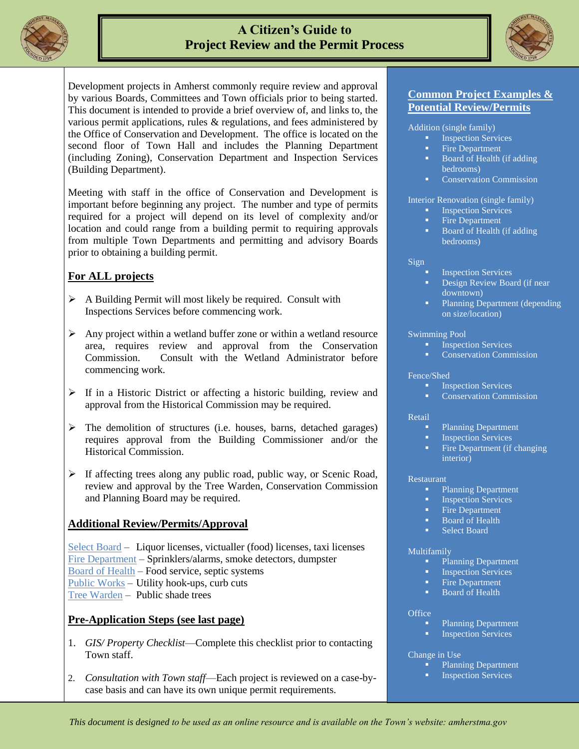

# **A Citizen's Guide to Project Review and the Permit Process**



Development projects in Amherst commonly require review and approval by various Boards, Committees and Town officials prior to being started. This document is intended to provide a brief overview of, and links to, the various permit applications, rules & regulations, and fees administered by the Office of Conservation and Development. The office is located on the second floor of Town Hall and includes the Planning Department (including Zoning), Conservation Department and Inspection Services (Building Department).

Meeting with staff in the office of Conservation and Development is important before beginning any project. The number and type of permits required for a project will depend on its level of complexity and/or location and could range from a building permit to requiring approvals from multiple Town Departments and permitting and advisory Boards prior to obtaining a building permit.

## **For ALL projects**

- $\triangleright$  A Building Permit will most likely be required. Consult with Inspections Services before commencing work.
- $\triangleright$  Any project within a wetland buffer zone or within a wetland resource area, requires review and approval from the Conservation Commission. Consult with the Wetland Administrator before commencing work.
- $\triangleright$  If in a Historic District or affecting a historic building, review and approval from the Historical Commission may be required.
- $\triangleright$  The demolition of structures (i.e. houses, barns, detached garages) requires approval from the Building Commissioner and/or the Historical Commission.
- $\triangleright$  If affecting trees along any public road, public way, or Scenic Road, review and approval by the Tree Warden, Conservation Commission and Planning Board may be required.

## **Additional Review/Permits/Approval**

[Select Board](http://www.amherstma.gov/index.aspx?nid=636) – Liquor licenses, victualler (food) licenses, taxi licenses [Fire Department](http://www.amherstma.gov/index.aspx?nid=124) – Sprinklers/alarms, smoke detectors, dumpster [Board of Health](http://www.amherstma.gov/index.aspx?nid=65) – Food service, septic systems [Public Works](http://www.amherstma.gov/index.aspx?nid=149) – Utility hook-ups, curb cuts [Tree Warden](http://www.amherstma.gov/index.aspx?NID=214) – Public shade trees

## **Pre-Application Steps (see last page)**

- 1. *GIS/ Property Checklist*—Complete this checklist prior to contacting Town staff.
- 2. *Consultation with Town staff*—Each project is reviewed on a case-bycase basis and can have its own unique permit requirements.

## **Common Project Examples & Potential Review/Permits**

Addition (single family)

- **Inspection Services**
- Fire Department
- Board of Health (if adding bedrooms)
- Conservation Commission

Interior Renovation (single family)

- **Inspection Services**
- Fire Department
- Board of Health (if adding bedrooms)

#### Sign

- Inspection Services
- Design Review Board (if near downtown)
- Planning Department (depending on size/location)

#### Swimming Pool

- **Inspection Services**
- Conservation Commission

#### Fence/Shed

- **Inspection Services**
- Conservation Commission

#### **Retail**

- Planning Department
- **Inspection Services**
- Fire Department (if changing interior)

#### Restaurant

- Planning Department<br>• Inspection Services<br>• Fire Department
- Inspection Services
- Fire Department
- Board of Health
- **Select Board**

#### Multifamily

- Planning Department
- Inspection Services
- Fire Department
- Board of Health

#### **Office**

- Planning Department
- Inspection Services

#### Change in Use

- **Planning Department**
- Inspection Services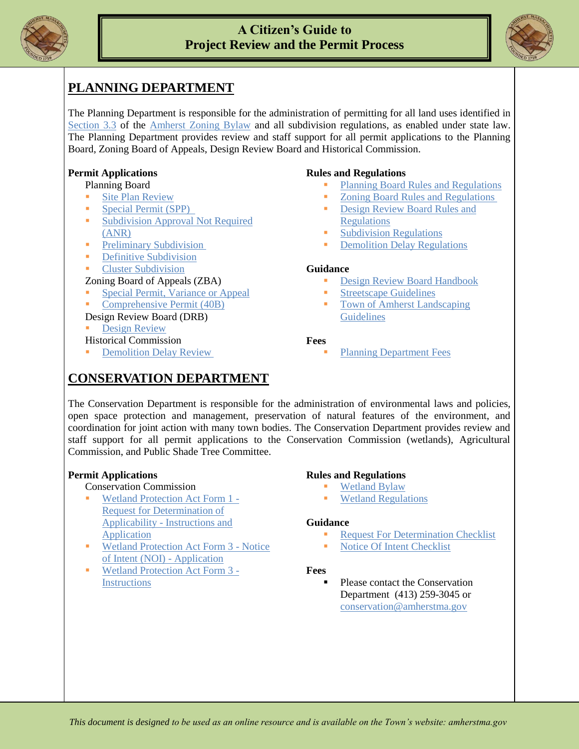

## **A Citizen's Guide to Project Review and the Permit Process**



# **PLANNING DEPARTMENT**

The Planning Department is responsible for the administration of permitting for all land uses identified in [Section 3.3](http://www.amherstma.gov/DocumentView.aspx?DID=2993) of the [Amherst Zoning Bylaw](http://www.amherstma.gov/index.aspx?NID=476) and all subdivision regulations, as enabled under state law. The Planning Department provides review and staff support for all permit applications to the Planning Board, Zoning Board of Appeals, Design Review Board and Historical Commission.

## **Permit Applications**

### Planning Board

- [Site Plan Review](http://www.amherstma.gov/DocumentView.asp?DID=53)
- [Special Permit \(SPP\)](http://www.amherstma.gov/DocumentView.asp?DID=55)
- [Subdivision Approval Not Required](http://www.amherstma.gov/DocumentView.asp?DID=1000) (ANR)
- **[Preliminary Subdivision](http://www.amherstma.gov/DocumentView.asp?DID=57)**
- **•** [Definitive Subdivision](http://www.amherstma.gov/DocumentView.asp?DID=58)
- **[Cluster Subdivision](http://www.amherstma.gov/DocumentView.asp?DID=54)**

### Zoning Board of Appeals (ZBA)

- [Special Permit, Variance or Appeal](http://www.amherstma.gov/DocumentView.aspx?DID=60)
- [Comprehensive Permit \(40B\)](http://www.amherstma.gov/DocumentView.aspx?DID=60)

### Design Review Board (DRB)

[Design Review](http://www.amherstma.gov/DocumentView.asp?DID=52)

Historical Commission

[Demolition Delay Review](http://www.amherstma.gov/DocumentView.asp?DID=62)

### **Rules and Regulations**

- [Planning Board Rules and Regulations](http://www.amherstma.gov/DocumentView.asp?DID=85)
- [Zoning Board Rules and Regulations](http://www.amherstma.gov/DocumentView.asp?DID=252)
- [Design Review Board Rules and](http://www.amherstma.gov/DocumentView.asp?DID=1126)  **[Regulations](http://www.amherstma.gov/DocumentView.asp?DID=1126)**
- [Subdivision Regulations](http://www.amherstma.gov/index.asp?NID=511)
- [Demolition Delay Regulations](http://www.amherstma.gov/DocumentView.aspx?DID=267)

#### **Guidance**

- [Design Review Board Handbook](http://www.amherstma.gov/DocumentView.asp?DID=1123)
- **[Streetscape Guidelines](http://www.amherstma.gov/index.asp?NID=741)**
- **Town of Amherst Landscaping [Guidelines](http://www.amherstma.gov/DocumentView.asp?DID=1122)**

### **Fees**

[Planning Department Fees](http://www.amherstma.gov/index.aspx?NID=497)

# **CONSERVATION DEPARTMENT**

The Conservation Department is responsible for the administration of environmental laws and policies, open space protection and management, preservation of natural features of the environment, and coordination for joint action with many town bodies. The Conservation Department provides review and staff support for all permit applications to the Conservation Commission (wetlands), Agricultural Commission, and Public Shade Tree Committee.

## **Permit Applications**

#### Conservation Commission

- [Wetland Protection Act Form 1 -](http://www.amherstma.gov/DocumentView.asp?DID=638) [Request for Determination of](http://www.amherstma.gov/DocumentView.asp?DID=638)  Applicability - [Instructions and](http://www.amherstma.gov/DocumentView.asp?DID=638)  **[Application](http://www.amherstma.gov/DocumentView.asp?DID=638)**
- [Wetland Protection Act Form 3 -](http://www.amherstma.gov/DocumentView.asp?DID=637) Notice [of Intent \(NOI\) -](http://www.amherstma.gov/DocumentView.asp?DID=637) Application
- [Wetland Protection Act Form 3 -](http://www.amherstma.gov/DocumentView.aspx?DID=2964) **[Instructions](http://www.amherstma.gov/DocumentView.aspx?DID=2964)**

#### **Rules and Regulations**

- [Wetland Bylaw](http://www.amherstma.gov/DocumentView.asp?DID=640)
- [Wetland Regulations](http://www.amherstma.gov/DocumentView.asp?DID=639)

#### **Guidance**

- Request For Determination Checklist
- Notice Of [Intent Checklist](http://www.amherstma.gov/DocumentView.aspx?DID=2573)

#### **Fees**

 Please contact the Conservation Department (413) 259-3045 or [conservation@amherstma.gov](mailto:conservation@amherstma.gov)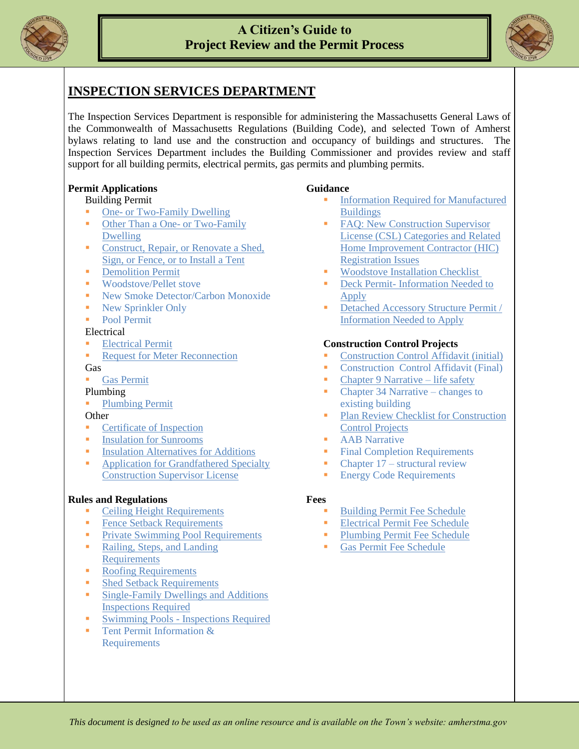



## **INSPECTION SERVICES DEPARTMENT**

The Inspection Services Department is responsible for administering the Massachusetts General Laws of the Commonwealth of Massachusetts Regulations (Building Code), and selected Town of Amherst bylaws relating to land use and the construction and occupancy of buildings and structures. The Inspection Services Department includes the Building Commissioner and provides review and staff support for all building permits, electrical permits, gas permits and plumbing permits.

## **Permit Applications**

#### Building Permit

- One- [or Two-Family Dwelling](http://www.amherstma.gov/DocumentView.asp?DID=1031)
- [Other Than a One-](http://www.amherstma.gov/DocumentView.asp?DID=1016) or Two-Family [Dwelling](http://www.amherstma.gov/DocumentView.asp?DID=1016)
- Construct, Repair, or Renovate a Shed, [Sign, or Fence, or to Install a Tent](http://www.amherstma.gov/DocumentView.asp?DID=1019)
- **•** [Demolition Permit](http://www.amherstma.gov/DocumentView.asp?DID=1022)
- Woodstove/Pellet stove
- New Smoke Detector/Carbon Monoxide
- New Sprinkler Only
- **Pool Permit**

#### Electrical

- [Electrical Permit](http://www.amherstma.gov/DocumentView.asp?DID=1023)
- Request for Meter Reconnection

#### Gas

[Gas Permit](http://www.amherstma.gov/DocumentView.asp?DID=1024)

#### Plumbing

**[Plumbing Permit](http://www.amherstma.gov/DocumentView.asp?DID=1002)** 

#### **Other**

- **[Certificate of Inspection](http://www.amherstma.gov/DocumentView.asp?DID=1020)**
- **[Insulation for Sunrooms](http://www.amherstma.gov/DocumentView.asp?DID=1033)**
- **[Insulation Alternatives for Additions](http://www.amherstma.gov/DocumentView.asp?DID=1032)**
- **•** Application for Grandfathered Specialty [Construction Supervisor License](http://www.amherstma.gov/DocumentView.asp?DID=118)

#### **Rules and Regulations**

- [Ceiling Height Requirements](http://www.amherstma.gov/DocumentView.asp?DID=119)
- **[Fence Setback Requirements](http://www.amherstma.gov/DocumentView.asp?DID=122)**
- **[Private Swimming Pool Requirements](http://www.amherstma.gov/DocumentView.asp?DID=125)**
- Railing, Steps, and Landing [Requirements](http://www.amherstma.gov/DocumentView.asp?DID=128)
- **[Roofing Requirements](http://www.amherstma.gov/DocumentView.asp?DID=126)**
- **[Shed Setback Requirements](http://www.amherstma.gov/DocumentView.asp?DID=127)**
- **Single-Family Dwellings and Additions** [Inspections Required](http://www.amherstma.gov/DocumentView.asp?DID=123)
- **Swimming Pools [Inspections Required](http://www.amherstma.gov/DocumentView.asp?DID=129)**
- **Tent Permit Information**  $\&$ Requirements

#### **Guidance**

- [Information Required for Manufactured](http://www.amherstma.gov/DocumentView.asp?DID=1035)  **[Buildings](http://www.amherstma.gov/DocumentView.asp?DID=1035)**
- [FAQ: New Construction Supervisor](http://www.amherstma.gov/DocumentView.asp?DID=124)  License [\(CSL\) Categories and Related](http://www.amherstma.gov/DocumentView.asp?DID=124)  [Home Improvement Contractor \(HIC\)](http://www.amherstma.gov/DocumentView.asp?DID=124)  [Registration Issues](http://www.amherstma.gov/DocumentView.asp?DID=124)
- **[Woodstove Installation Checklist](http://www.amherstma.gov/DocumentView.asp?DID=1037)**
- Deck Permit- [Information Needed to](http://www.amherstma.gov/DocumentView.asp?DID=120)  [Apply](http://www.amherstma.gov/DocumentView.asp?DID=120)
- [Detached Accessory Structure Permit /](http://www.amherstma.gov/DocumentView.asp?DID=121)  [Information Needed to Apply](http://www.amherstma.gov/DocumentView.asp?DID=121)

#### **Construction Control Projects**

- Construction Control Affidavit (initial)
- Construction Control Affidavit (Final)
- [Chapter 9 Narrative –](http://www.amherstma.gov/DocumentView.aspx?DID=31) life safety
- Chapter 34 Narrative changes to existing building
- **Plan Review Checklist for Construction** [Control Projects](http://www.amherstma.gov/DocumentView.asp?DID=1030)
- **AAB** Narrative
- Final Completion Requirements
- Chapter  $17$  structural review
- **Energy Code Requirements**

## **Fees**

- [Building Permit Fee Schedule](http://www.amherstma.gov/index.asp?NID=544)
- **[Electrical Permit Fee Schedule](http://www.amherstma.gov/index.asp?NID=565)**
- **[Plumbing Permit Fee Schedule](http://www.amherstma.gov/index.asp?NID=545)**
- [Gas Permit Fee Schedule](http://www.amherstma.gov/index.asp?NID=566)